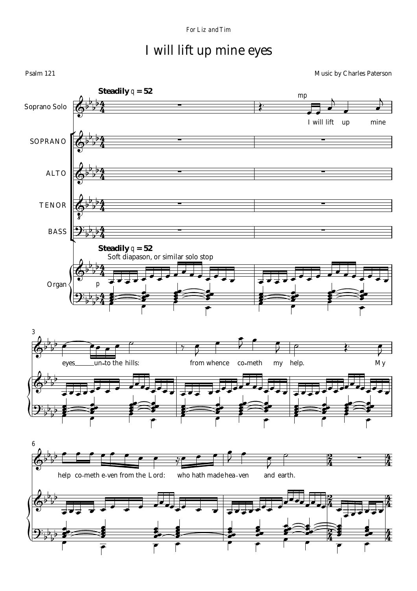## I will lift up mine eyes

Psalm 121 Music by Charles Paterson **Steadily** q **= 52** *mp*  $\frac{4}{7}$ Soprano Solo  $\frac{4}{4}$ I will lift up mine  $\frac{4}{1}$ SOPRANO  $\frac{4}{4}$  $\frac{4}{3}$ ALTO  $\frac{4}{4}$  $\frac{4}{7}$ TENOR  $\frac{4}{4}$  $\frac{4}{3}$ BASS  $\frac{4}{4}$ **Steadily** q **= 52** Soft diapason, or similar solo stop $\frac{4}{4}$ Organ *p*  $4<sup>1</sup>$  $\frac{4}{4}$ *3* eyes un-to the hills: from whence co-meth my help. My *6*  $\frac{2}{7}$  $\overline{4}$  $\frac{2}{4}$ 生<br>生 help co-meth e-ven from the Lord: who hath made hea-ven and earth.  $\frac{2}{7}$  $\overline{4}$  $\frac{2}{4}$  $\frac{4}{4}$ सें  $\overline{4}$  $\frac{2}{4}$  $\frac{4}{4}$ ۴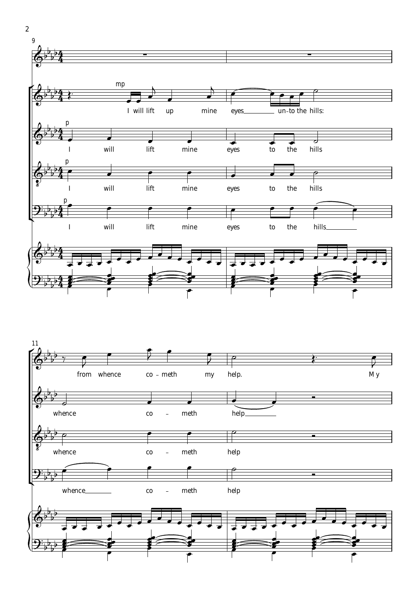



2